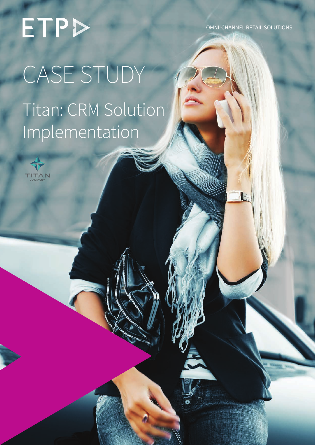OMNI-CHANNEL RETAIL SOLUTIONS

# ETP CASE STUDY Titan: CRM Solution Implementation

ETP Case Study | Titan: CRM Solution Implementation Getting It Right In Retail

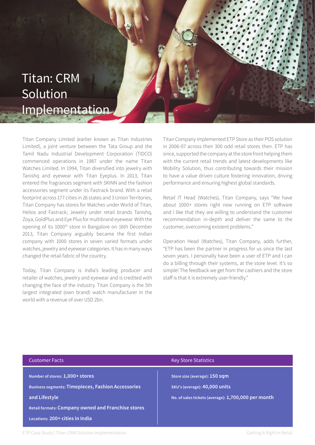### Titan: CRM Solution Implementation

Titan Company Limited (earlier known as Titan Industries Limited), a joint venture between the Tata Group and the Tamil Nadu Industrial Development Corporation (TIDCO) commenced operations in 1987 under the name Titan Watches Limited. In 1994, Titan diversified into jewelry with Tanishq and eyewear with Titan Eyeplus. In 2013, Titan entered the fragrances segment with SKINN and the fashion accessories segment under its Fastrack brand. With a retail footprint across 177 cities in 26 states and 3 Union Territories, Titan Company has stores for Watches under World of Titan, Helios and Fastrack; Jewelry under retail brands Tanishq, Zoya, GoldPlus and Eye Plus for multibrand eyewear. With the opening of its 1000th store in Bangalore on 16th December 2013, Titan Company arguably became the first Indian company with 1000 stores in seven varied formats under watches, jewelry and eyewear categories. It has in many ways changed the retail fabric of the country.

Today, Titan Company is India's leading producer and retailer of watches, jewelry and eyewear and is credited with changing the face of the industry. Titan Company is the 5th largest integrated (own brand) watch manufacturer in the world with a revenue of over USD 2bn.

Titan Company implemented ETP Store as their POS solution in 2006-07 across their 300 odd retail stores then. ETP has since, supported the company at the store front helping them with the current retail trends and latest developments like Mobility Solution, thus contributing towards their mission to have a value driven culture fostering innovation, driving performance and ensuring highest global standards.

Retail IT Head (Watches), Titan Company, says "We have about 1000+ stores right now running on ETP software and I like that they are willing to understand the customer recommendation in-depth and deliver the same to the customer, overcoming existent problems."

Operation Head (Watches), Titan Company, adds further, "ETP has been the partner in progress for us since the last seven years. I personally have been a user of ETP and I can do a billing through their systems, at the store level. It's so simple! The feedback we get from the cashiers and the store staff is that it is extremely user-friendly."

| <b>Customer Facts</b>                                                                                                                                                                                         | <b>Key Store Statistics</b>                                                                                           |
|---------------------------------------------------------------------------------------------------------------------------------------------------------------------------------------------------------------|-----------------------------------------------------------------------------------------------------------------------|
| Number of stores: 1,000+ stores<br><b>Business segments: Timepieces, Fashion Accessories</b><br>and Lifestyle<br><b>Retail formats: Company owned and Franchise stores</b><br>Locations: 200+ cities in India | Store size (average): 150 sqm<br>SKU's (average): 40,000 units<br>No. of sales tickets (average): 1,700,000 per month |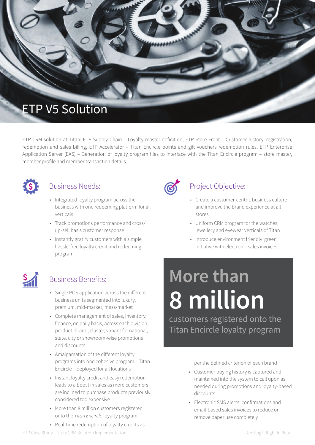

ETP CRM solution at Titan: ETP Supply Chain – Loyalty master definition, ETP Store Front – Customer history, registration, redemption and sales billing, ETP Accelerator – Titan Encircle points and gift vouchers redemption rules, ETP Enterprise Application Server (EAS) – Generation of loyalty program files to interface with the Titan Encircle program – store master, member profile and member transaction details.



#### Business Needs:

- Integrated loyalty program across the business with one redeeming platform for all verticals
- Track promotions performance and cross/ up-sell basis customer response
- Instantly gratify customers with a simple hassle-free loyalty credit and redeeming program



#### Business Benefits:

- Single POS application across the different business units segmented into luxury, premium, mid-market, mass-market
- Complete management of sales, inventory, finance, on daily basis, across each division, product, brand, cluster, variant for national, state, city or showroom-wise promotions and discounts
- Amalgamation of the different loyalty programs into one cohesive program – Titan Encircle – deployed for all locations
- Instant loyalty credit and easy redemption leads to a boost in sales as more customers are inclined to purchase products previously considered too expensive
- More than 8 million customers registered onto the *Titan Encircle* loyalty program
- Real-time redemption of loyalty credits as



#### Project Objective:

- Create a customer-centric business culture and improve the brand experience at all stores
- Uniform CRM program for the watches, jewellery and eyewear verticals of Titan
- Introduce environment friendly 'green' initiative with electronic sales invoices

### **More than 8 million**

customers registered onto the Titan Encircle loyalty program

per the defined criterion of each brand

- Customer buying history is captured and maintained into the system to call upon as needed during promotions and loyalty-based discounts
- Electronic SMS alerts, confirmations and email-based sales invoices to reduce or remove paper use completely

ETP Case Study | Titan: CRM Solution Implementation Getting It Right In Retail